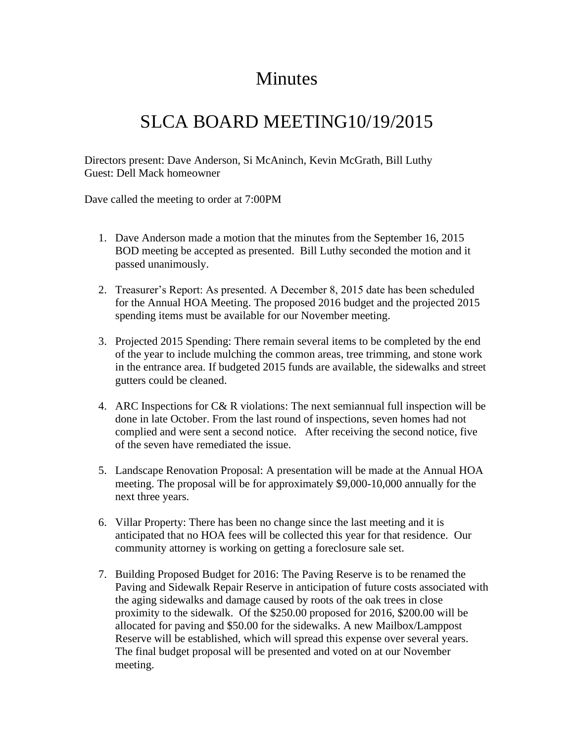## Minutes

## SLCA BOARD MEETING10/19/2015

Directors present: Dave Anderson, Si McAninch, Kevin McGrath, Bill Luthy Guest: Dell Mack homeowner

Dave called the meeting to order at 7:00PM

- 1. Dave Anderson made a motion that the minutes from the September 16, 2015 BOD meeting be accepted as presented. Bill Luthy seconded the motion and it passed unanimously.
- 2. Treasurer's Report: As presented. A December 8, 2015 date has been scheduled for the Annual HOA Meeting. The proposed 2016 budget and the projected 2015 spending items must be available for our November meeting.
- 3. Projected 2015 Spending: There remain several items to be completed by the end of the year to include mulching the common areas, tree trimming, and stone work in the entrance area. If budgeted 2015 funds are available, the sidewalks and street gutters could be cleaned.
- 4. ARC Inspections for C& R violations: The next semiannual full inspection will be done in late October. From the last round of inspections, seven homes had not complied and were sent a second notice. After receiving the second notice, five of the seven have remediated the issue.
- 5. Landscape Renovation Proposal: A presentation will be made at the Annual HOA meeting. The proposal will be for approximately \$9,000-10,000 annually for the next three years.
- 6. Villar Property: There has been no change since the last meeting and it is anticipated that no HOA fees will be collected this year for that residence. Our community attorney is working on getting a foreclosure sale set.
- 7. Building Proposed Budget for 2016: The Paving Reserve is to be renamed the Paving and Sidewalk Repair Reserve in anticipation of future costs associated with the aging sidewalks and damage caused by roots of the oak trees in close proximity to the sidewalk. Of the \$250.00 proposed for 2016, \$200.00 will be allocated for paving and \$50.00 for the sidewalks. A new Mailbox/Lamppost Reserve will be established, which will spread this expense over several years. The final budget proposal will be presented and voted on at our November meeting.